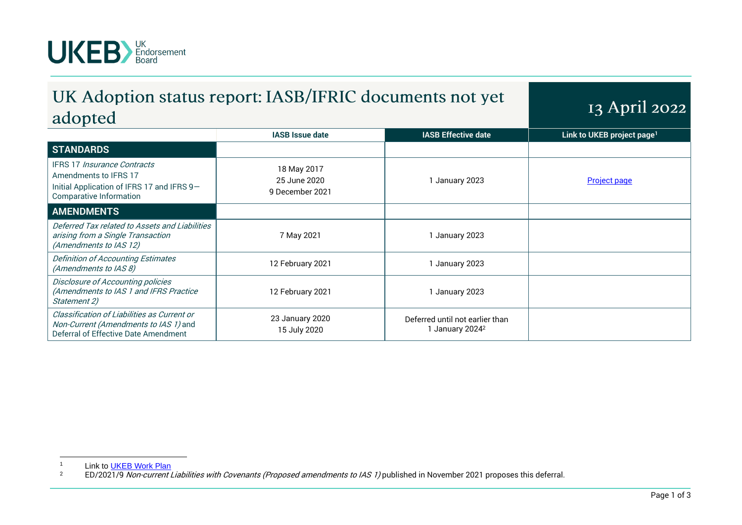

## UK Adoption status report: IASB/IFRIC documents not yet adopted

13 April 2022

| ---- <i>-</i> -- --                                                                                                                  |                                                |                                                                |                                        |
|--------------------------------------------------------------------------------------------------------------------------------------|------------------------------------------------|----------------------------------------------------------------|----------------------------------------|
|                                                                                                                                      | <b>IASB Issue date</b>                         | <b>IASB Effective date</b>                                     | Link to UKEB project page <sup>1</sup> |
| <b>STANDARDS</b>                                                                                                                     |                                                |                                                                |                                        |
| IFRS 17 Insurance Contracts<br>Amendments to IFRS 17<br>Initial Application of IFRS 17 and IFRS 9-<br><b>Comparative Information</b> | 18 May 2017<br>25 June 2020<br>9 December 2021 | 1 January 2023                                                 | <b>Project page</b>                    |
| <b>AMENDMENTS</b>                                                                                                                    |                                                |                                                                |                                        |
| Deferred Tax related to Assets and Liabilities<br>arising from a Single Transaction<br>(Amendments to IAS 12)                        | 7 May 2021                                     | 1 January 2023                                                 |                                        |
| Definition of Accounting Estimates<br>(Amendments to IAS 8)                                                                          | 12 February 2021                               | 1 January 2023                                                 |                                        |
| Disclosure of Accounting policies<br>(Amendments to IAS 1 and IFRS Practice<br>Statement 2)                                          | 12 February 2021                               | 1 January 2023                                                 |                                        |
| Classification of Liabilities as Current or<br>Non-Current (Amendments to IAS 1) and<br>Deferral of Effective Date Amendment         | 23 January 2020<br>15 July 2020                | Deferred until not earlier than<br>1 January 2024 <sup>2</sup> |                                        |

<sup>&</sup>lt;sup>1</sup> Link to <u>UKEB Work Plan</u><br><sup>2</sup> ED/2021/9 *Non-current I* 

ED/2021/9 Non-current Liabilities with Covenants (Proposed amendments to IAS 1) published in November 2021 proposes this deferral.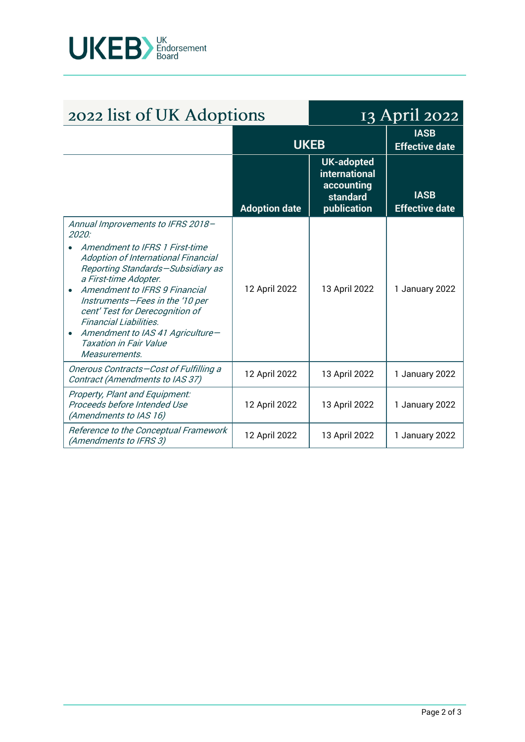

| 2022 list of UK Adoptions                                                                                                                                                                                                                                                                                                                                                                                                          |                      | 13 April 2022                                                                      |                                      |
|------------------------------------------------------------------------------------------------------------------------------------------------------------------------------------------------------------------------------------------------------------------------------------------------------------------------------------------------------------------------------------------------------------------------------------|----------------------|------------------------------------------------------------------------------------|--------------------------------------|
|                                                                                                                                                                                                                                                                                                                                                                                                                                    | <b>UKEB</b>          |                                                                                    | <b>IASB</b><br><b>Effective date</b> |
|                                                                                                                                                                                                                                                                                                                                                                                                                                    | <b>Adoption date</b> | <b>UK-adopted</b><br><b>international</b><br>accounting<br>standard<br>publication | <b>IASB</b><br><b>Effective date</b> |
| Annual Improvements to IFRS 2018-<br>2020:<br>Amendment to IFRS 1 First-time<br>Adoption of International Financial<br>Reporting Standards-Subsidiary as<br>a First-time Adopter.<br>Amendment to IFRS 9 Financial<br>$\bullet$<br>Instruments-Fees in the '10 per<br>cent' Test for Derecognition of<br>Financial Liabilities.<br>Amendment to IAS 41 Agriculture-<br>$\bullet$<br><b>Taxation in Fair Value</b><br>Measurements. | 12 April 2022        | 13 April 2022                                                                      | 1 January 2022                       |
| Onerous Contracts-Cost of Fulfilling a<br>Contract (Amendments to IAS 37)                                                                                                                                                                                                                                                                                                                                                          | 12 April 2022        | 13 April 2022                                                                      | 1 January 2022                       |
| Property, Plant and Equipment:<br>Proceeds before Intended Use<br>(Amendments to IAS 16)                                                                                                                                                                                                                                                                                                                                           | 12 April 2022        | 13 April 2022                                                                      | 1 January 2022                       |
| Reference to the Conceptual Framework<br>(Amendments to IFRS 3)                                                                                                                                                                                                                                                                                                                                                                    | 12 April 2022        | 13 April 2022                                                                      | 1 January 2022                       |